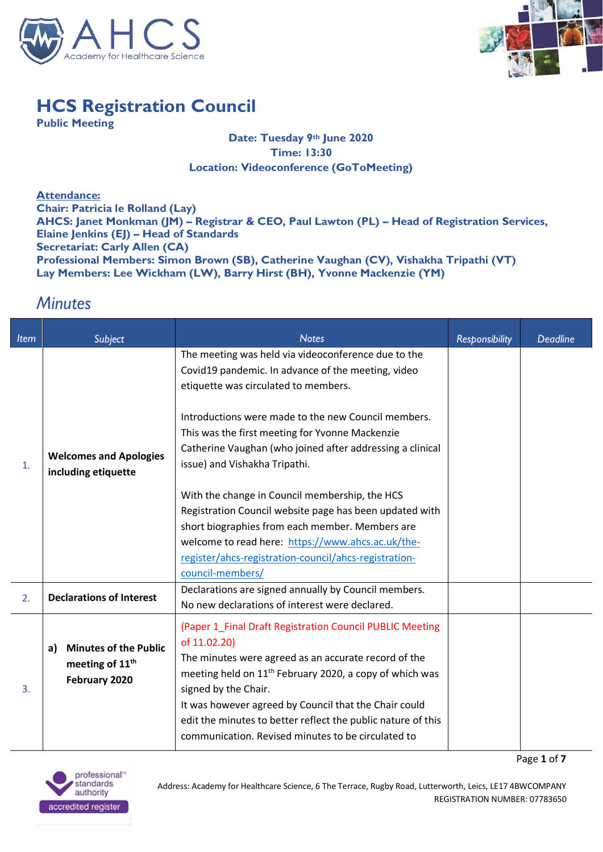



Page **1** of **7**

## **HCS Registration Council**

**Public Meeting**

## **Date: Tuesday 9th June 2020 Time: 13:30 Location: Videoconference (GoToMeeting)**

**Attendance: Chair: Patricia le Rolland (Lay) AHCS: Janet Monkman (JM) – Registrar & CEO, Paul Lawton (PL) – Head of Registration Services, Elaine Jenkins (EJ) – Head of Standards Secretariat: Carly Allen (CA) Professional Members: Simon Brown (SB), Catherine Vaughan (CV), Vishakha Tripathi (VT) Lay Members: Lee Wickham (LW), Barry Hirst (BH), Yvonne Mackenzie (YM)**

## *Minutes*

| <b>Item</b> | Subject                                                                            | <b>Notes</b>                                                                                                                                                                                                                                                                                                                                                                                                   | Responsibility | <b>Deadline</b> |
|-------------|------------------------------------------------------------------------------------|----------------------------------------------------------------------------------------------------------------------------------------------------------------------------------------------------------------------------------------------------------------------------------------------------------------------------------------------------------------------------------------------------------------|----------------|-----------------|
| 1.          |                                                                                    | The meeting was held via videoconference due to the<br>Covid19 pandemic. In advance of the meeting, video<br>etiquette was circulated to members.                                                                                                                                                                                                                                                              |                |                 |
|             | <b>Welcomes and Apologies</b><br>including etiquette                               | Introductions were made to the new Council members.<br>This was the first meeting for Yvonne Mackenzie<br>Catherine Vaughan (who joined after addressing a clinical<br>issue) and Vishakha Tripathi.                                                                                                                                                                                                           |                |                 |
|             |                                                                                    | With the change in Council membership, the HCS<br>Registration Council website page has been updated with<br>short biographies from each member. Members are<br>welcome to read here: https://www.ahcs.ac.uk/the-<br>register/ahcs-registration-council/ahcs-registration-<br>council-members/                                                                                                                 |                |                 |
| 2.          | <b>Declarations of Interest</b>                                                    | Declarations are signed annually by Council members.<br>No new declarations of interest were declared.                                                                                                                                                                                                                                                                                                         |                |                 |
| 3.          | <b>Minutes of the Public</b><br>a)<br>meeting of 11 <sup>th</sup><br>February 2020 | (Paper 1_Final Draft Registration Council PUBLIC Meeting<br>of 11.02.20)<br>The minutes were agreed as an accurate record of the<br>meeting held on 11 <sup>th</sup> February 2020, a copy of which was<br>signed by the Chair.<br>It was however agreed by Council that the Chair could<br>edit the minutes to better reflect the public nature of this<br>communication. Revised minutes to be circulated to |                |                 |

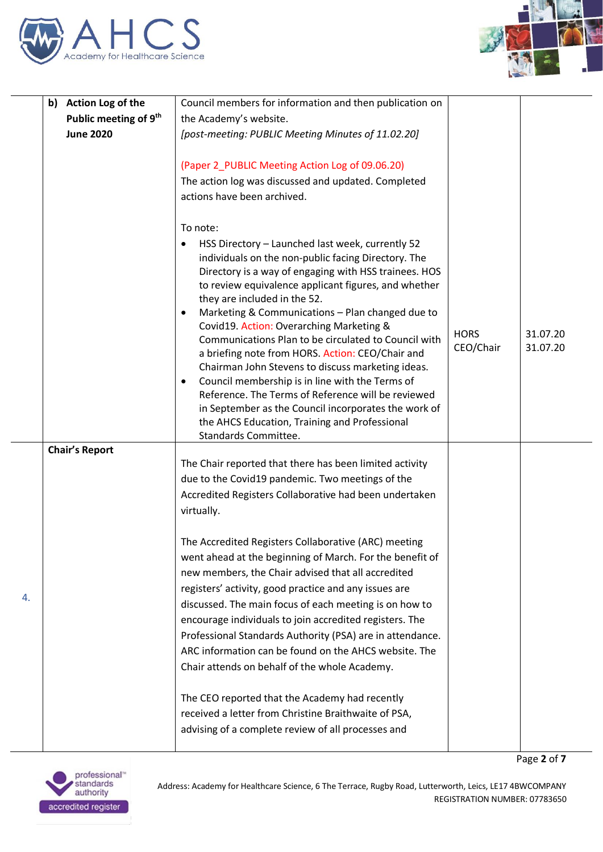



|    | b) Action Log of the              | Council members for information and then publication on                                                                                                                                                                                                                                                                                                                                                                                                                                                                                                                                                                                                                                                                                                                                      |                          |                      |
|----|-----------------------------------|----------------------------------------------------------------------------------------------------------------------------------------------------------------------------------------------------------------------------------------------------------------------------------------------------------------------------------------------------------------------------------------------------------------------------------------------------------------------------------------------------------------------------------------------------------------------------------------------------------------------------------------------------------------------------------------------------------------------------------------------------------------------------------------------|--------------------------|----------------------|
|    | Public meeting of 9 <sup>th</sup> | the Academy's website.                                                                                                                                                                                                                                                                                                                                                                                                                                                                                                                                                                                                                                                                                                                                                                       |                          |                      |
|    | <b>June 2020</b>                  | [post-meeting: PUBLIC Meeting Minutes of 11.02.20]                                                                                                                                                                                                                                                                                                                                                                                                                                                                                                                                                                                                                                                                                                                                           |                          |                      |
|    |                                   | (Paper 2_PUBLIC Meeting Action Log of 09.06.20)<br>The action log was discussed and updated. Completed<br>actions have been archived.                                                                                                                                                                                                                                                                                                                                                                                                                                                                                                                                                                                                                                                        |                          |                      |
|    |                                   | To note:<br>HSS Directory - Launched last week, currently 52<br>individuals on the non-public facing Directory. The<br>Directory is a way of engaging with HSS trainees. HOS<br>to review equivalence applicant figures, and whether<br>they are included in the 52.<br>Marketing & Communications - Plan changed due to<br>Covid19. Action: Overarching Marketing &<br>Communications Plan to be circulated to Council with<br>a briefing note from HORS. Action: CEO/Chair and<br>Chairman John Stevens to discuss marketing ideas.<br>Council membership is in line with the Terms of<br>$\bullet$<br>Reference. The Terms of Reference will be reviewed<br>in September as the Council incorporates the work of<br>the AHCS Education, Training and Professional<br>Standards Committee. | <b>HORS</b><br>CEO/Chair | 31.07.20<br>31.07.20 |
|    | <b>Chair's Report</b>             | The Chair reported that there has been limited activity                                                                                                                                                                                                                                                                                                                                                                                                                                                                                                                                                                                                                                                                                                                                      |                          |                      |
|    |                                   | due to the Covid19 pandemic. Two meetings of the<br>Accredited Registers Collaborative had been undertaken<br>virtually.                                                                                                                                                                                                                                                                                                                                                                                                                                                                                                                                                                                                                                                                     |                          |                      |
| 4. |                                   | The Accredited Registers Collaborative (ARC) meeting<br>went ahead at the beginning of March. For the benefit of<br>new members, the Chair advised that all accredited<br>registers' activity, good practice and any issues are<br>discussed. The main focus of each meeting is on how to<br>encourage individuals to join accredited registers. The<br>Professional Standards Authority (PSA) are in attendance.<br>ARC information can be found on the AHCS website. The<br>Chair attends on behalf of the whole Academy.<br>The CEO reported that the Academy had recently<br>received a letter from Christine Braithwaite of PSA,<br>advising of a complete review of all processes and                                                                                                  |                          |                      |
|    |                                   |                                                                                                                                                                                                                                                                                                                                                                                                                                                                                                                                                                                                                                                                                                                                                                                              |                          | Page 2 of 7          |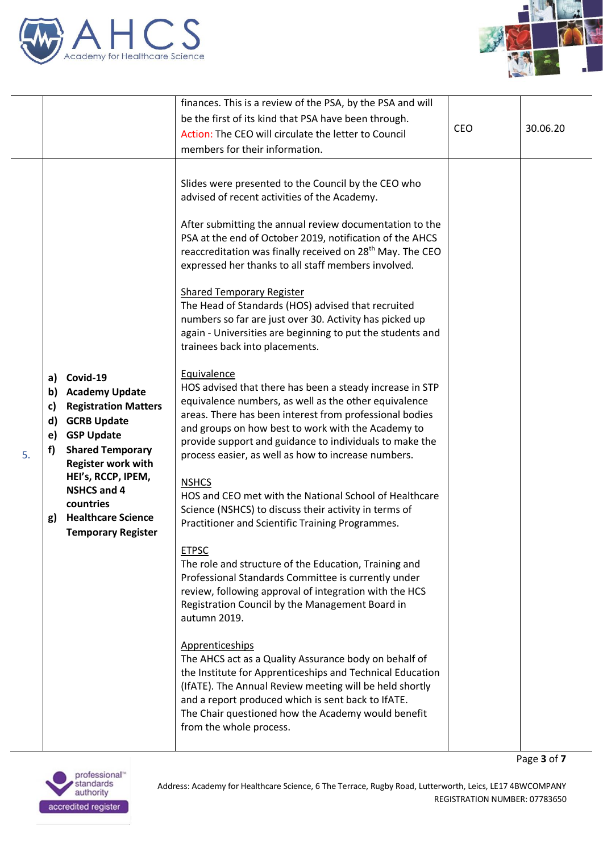



Page **3** of **7**

|    |                                                                                                                                                                                                                                                                                                                                  | finances. This is a review of the PSA, by the PSA and will                                                                                                                                                                                                                                                                                                                                                                                                                                                                                                                                                                                                                                                                                                                                                                                                                                                                                                                                                                                                                                                                                                                                                                                                                                                                                                                                                                                                                                                                                                                                                                                                                                           |     |          |
|----|----------------------------------------------------------------------------------------------------------------------------------------------------------------------------------------------------------------------------------------------------------------------------------------------------------------------------------|------------------------------------------------------------------------------------------------------------------------------------------------------------------------------------------------------------------------------------------------------------------------------------------------------------------------------------------------------------------------------------------------------------------------------------------------------------------------------------------------------------------------------------------------------------------------------------------------------------------------------------------------------------------------------------------------------------------------------------------------------------------------------------------------------------------------------------------------------------------------------------------------------------------------------------------------------------------------------------------------------------------------------------------------------------------------------------------------------------------------------------------------------------------------------------------------------------------------------------------------------------------------------------------------------------------------------------------------------------------------------------------------------------------------------------------------------------------------------------------------------------------------------------------------------------------------------------------------------------------------------------------------------------------------------------------------------|-----|----------|
|    |                                                                                                                                                                                                                                                                                                                                  | be the first of its kind that PSA have been through.                                                                                                                                                                                                                                                                                                                                                                                                                                                                                                                                                                                                                                                                                                                                                                                                                                                                                                                                                                                                                                                                                                                                                                                                                                                                                                                                                                                                                                                                                                                                                                                                                                                 |     |          |
|    |                                                                                                                                                                                                                                                                                                                                  | Action: The CEO will circulate the letter to Council                                                                                                                                                                                                                                                                                                                                                                                                                                                                                                                                                                                                                                                                                                                                                                                                                                                                                                                                                                                                                                                                                                                                                                                                                                                                                                                                                                                                                                                                                                                                                                                                                                                 |     | 30.06.20 |
|    |                                                                                                                                                                                                                                                                                                                                  | members for their information.                                                                                                                                                                                                                                                                                                                                                                                                                                                                                                                                                                                                                                                                                                                                                                                                                                                                                                                                                                                                                                                                                                                                                                                                                                                                                                                                                                                                                                                                                                                                                                                                                                                                       |     |          |
| 5. | Covid-19<br>a)<br><b>Academy Update</b><br>b)<br><b>Registration Matters</b><br>c)<br><b>GCRB Update</b><br>d)<br><b>GSP Update</b><br>e)<br><b>Shared Temporary</b><br>f)<br><b>Register work with</b><br>HEI's, RCCP, IPEM,<br><b>NSHCS and 4</b><br>countries<br><b>Healthcare Science</b><br>g)<br><b>Temporary Register</b> | Slides were presented to the Council by the CEO who<br>advised of recent activities of the Academy.<br>After submitting the annual review documentation to the<br>PSA at the end of October 2019, notification of the AHCS<br>reaccreditation was finally received on 28 <sup>th</sup> May. The CEO<br>expressed her thanks to all staff members involved.<br><b>Shared Temporary Register</b><br>The Head of Standards (HOS) advised that recruited<br>numbers so far are just over 30. Activity has picked up<br>again - Universities are beginning to put the students and<br>trainees back into placements.<br>Equivalence<br>HOS advised that there has been a steady increase in STP<br>equivalence numbers, as well as the other equivalence<br>areas. There has been interest from professional bodies<br>and groups on how best to work with the Academy to<br>provide support and guidance to individuals to make the<br>process easier, as well as how to increase numbers.<br><b>NSHCS</b><br>HOS and CEO met with the National School of Healthcare<br>Science (NSHCS) to discuss their activity in terms of<br>Practitioner and Scientific Training Programmes.<br><b>ETPSC</b><br>The role and structure of the Education, Training and<br>Professional Standards Committee is currently under<br>review, following approval of integration with the HCS<br>Registration Council by the Management Board in<br>autumn 2019.<br>Apprenticeships<br>The AHCS act as a Quality Assurance body on behalf of<br>the Institute for Apprenticeships and Technical Education<br>(IfATE). The Annual Review meeting will be held shortly<br>and a report produced which is sent back to IfATE. | CEO |          |
|    |                                                                                                                                                                                                                                                                                                                                  | The Chair questioned how the Academy would benefit<br>from the whole process.                                                                                                                                                                                                                                                                                                                                                                                                                                                                                                                                                                                                                                                                                                                                                                                                                                                                                                                                                                                                                                                                                                                                                                                                                                                                                                                                                                                                                                                                                                                                                                                                                        |     |          |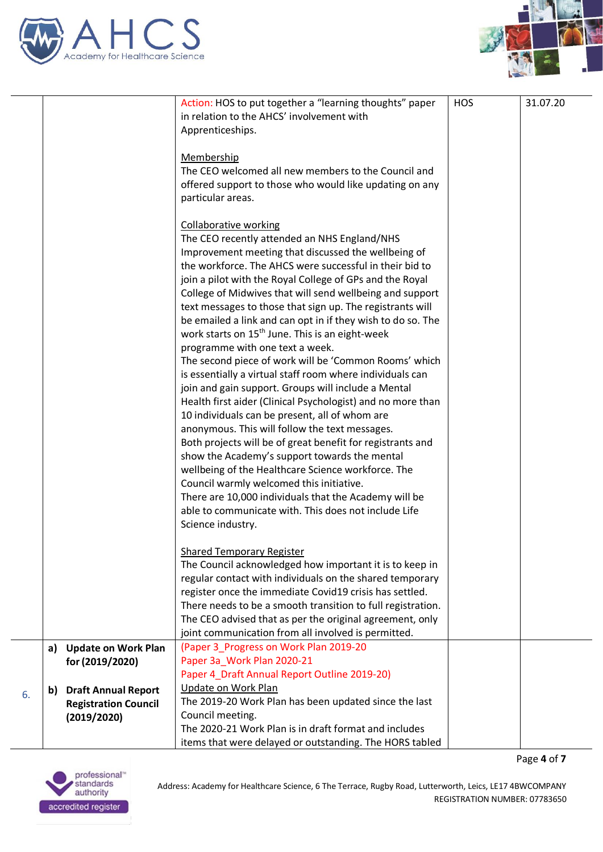



|    |    |                             | Action: HOS to put together a "learning thoughts" paper     | <b>HOS</b> | 31.07.20 |
|----|----|-----------------------------|-------------------------------------------------------------|------------|----------|
|    |    |                             | in relation to the AHCS' involvement with                   |            |          |
|    |    |                             | Apprenticeships.                                            |            |          |
|    |    |                             |                                                             |            |          |
|    |    |                             | Membership                                                  |            |          |
|    |    |                             | The CEO welcomed all new members to the Council and         |            |          |
|    |    |                             | offered support to those who would like updating on any     |            |          |
|    |    |                             | particular areas.                                           |            |          |
|    |    |                             |                                                             |            |          |
|    |    |                             | <b>Collaborative working</b>                                |            |          |
|    |    |                             | The CEO recently attended an NHS England/NHS                |            |          |
|    |    |                             | Improvement meeting that discussed the wellbeing of         |            |          |
|    |    |                             | the workforce. The AHCS were successful in their bid to     |            |          |
|    |    |                             | join a pilot with the Royal College of GPs and the Royal    |            |          |
|    |    |                             | College of Midwives that will send wellbeing and support    |            |          |
|    |    |                             | text messages to those that sign up. The registrants will   |            |          |
|    |    |                             | be emailed a link and can opt in if they wish to do so. The |            |          |
|    |    |                             |                                                             |            |          |
|    |    |                             | work starts on 15 <sup>th</sup> June. This is an eight-week |            |          |
|    |    |                             | programme with one text a week.                             |            |          |
|    |    |                             | The second piece of work will be 'Common Rooms' which       |            |          |
|    |    |                             | is essentially a virtual staff room where individuals can   |            |          |
|    |    |                             | join and gain support. Groups will include a Mental         |            |          |
|    |    |                             | Health first aider (Clinical Psychologist) and no more than |            |          |
|    |    |                             | 10 individuals can be present, all of whom are              |            |          |
|    |    |                             | anonymous. This will follow the text messages.              |            |          |
|    |    |                             | Both projects will be of great benefit for registrants and  |            |          |
|    |    |                             | show the Academy's support towards the mental               |            |          |
|    |    |                             | wellbeing of the Healthcare Science workforce. The          |            |          |
|    |    |                             | Council warmly welcomed this initiative.                    |            |          |
|    |    |                             | There are 10,000 individuals that the Academy will be       |            |          |
|    |    |                             | able to communicate with. This does not include Life        |            |          |
|    |    |                             | Science industry.                                           |            |          |
|    |    |                             |                                                             |            |          |
|    |    |                             | <b>Shared Temporary Register</b>                            |            |          |
|    |    |                             | The Council acknowledged how important it is to keep in     |            |          |
|    |    |                             | regular contact with individuals on the shared temporary    |            |          |
|    |    |                             | register once the immediate Covid19 crisis has settled.     |            |          |
|    |    |                             | There needs to be a smooth transition to full registration. |            |          |
|    |    |                             | The CEO advised that as per the original agreement, only    |            |          |
|    |    |                             | joint communication from all involved is permitted.         |            |          |
|    | a) | <b>Update on Work Plan</b>  | (Paper 3_Progress on Work Plan 2019-20                      |            |          |
|    |    | for (2019/2020)             | Paper 3a Work Plan 2020-21                                  |            |          |
|    |    |                             | Paper 4_Draft Annual Report Outline 2019-20)                |            |          |
| 6. | b) | <b>Draft Annual Report</b>  | <b>Update on Work Plan</b>                                  |            |          |
|    |    | <b>Registration Council</b> | The 2019-20 Work Plan has been updated since the last       |            |          |
|    |    | (2019/2020)                 | Council meeting.                                            |            |          |
|    |    |                             | The 2020-21 Work Plan is in draft format and includes       |            |          |
|    |    |                             | items that were delayed or outstanding. The HORS tabled     |            |          |

Page **4** of **7**

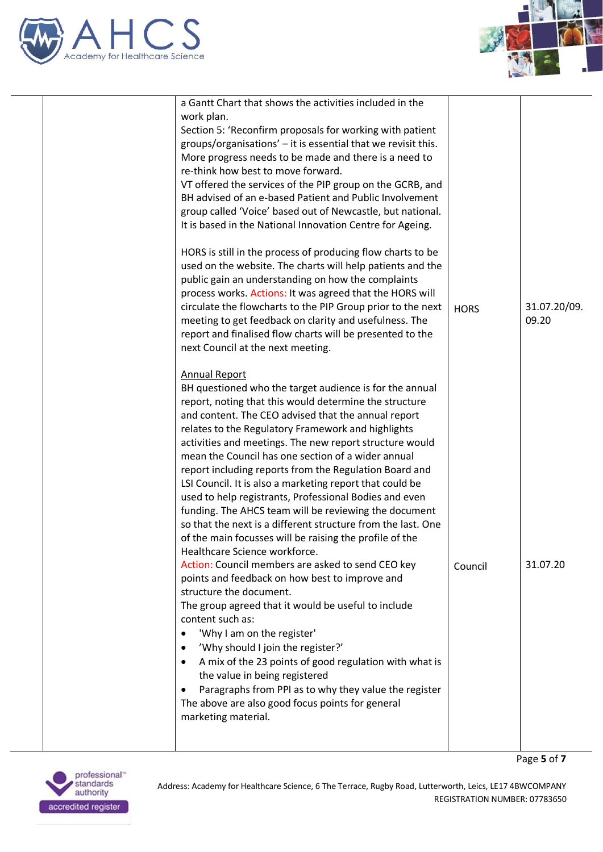



Page **5** of **7**

| a Gantt Chart that shows the activities included in the                                                                                                                                                                                                                                                                                                                                                                                                                                                                                                                                                                                                                                                                                                                                                                                                                                                                                                                                                                                                                                                                                                                                                                                                                                                                    |             |                       |
|----------------------------------------------------------------------------------------------------------------------------------------------------------------------------------------------------------------------------------------------------------------------------------------------------------------------------------------------------------------------------------------------------------------------------------------------------------------------------------------------------------------------------------------------------------------------------------------------------------------------------------------------------------------------------------------------------------------------------------------------------------------------------------------------------------------------------------------------------------------------------------------------------------------------------------------------------------------------------------------------------------------------------------------------------------------------------------------------------------------------------------------------------------------------------------------------------------------------------------------------------------------------------------------------------------------------------|-------------|-----------------------|
| work plan.<br>Section 5: 'Reconfirm proposals for working with patient<br>groups/organisations' - it is essential that we revisit this.<br>More progress needs to be made and there is a need to<br>re-think how best to move forward.<br>VT offered the services of the PIP group on the GCRB, and<br>BH advised of an e-based Patient and Public Involvement<br>group called 'Voice' based out of Newcastle, but national.<br>It is based in the National Innovation Centre for Ageing.<br>HORS is still in the process of producing flow charts to be<br>used on the website. The charts will help patients and the<br>public gain an understanding on how the complaints<br>process works. Actions: It was agreed that the HORS will<br>circulate the flowcharts to the PIP Group prior to the next<br>meeting to get feedback on clarity and usefulness. The<br>report and finalised flow charts will be presented to the<br>next Council at the next meeting.                                                                                                                                                                                                                                                                                                                                                        | <b>HORS</b> | 31.07.20/09.<br>09.20 |
| <b>Annual Report</b><br>BH questioned who the target audience is for the annual<br>report, noting that this would determine the structure<br>and content. The CEO advised that the annual report<br>relates to the Regulatory Framework and highlights<br>activities and meetings. The new report structure would<br>mean the Council has one section of a wider annual<br>report including reports from the Regulation Board and<br>LSI Council. It is also a marketing report that could be<br>used to help registrants, Professional Bodies and even<br>funding. The AHCS team will be reviewing the document<br>so that the next is a different structure from the last. One<br>of the main focusses will be raising the profile of the<br>Healthcare Science workforce.<br>Action: Council members are asked to send CEO key<br>points and feedback on how best to improve and<br>structure the document.<br>The group agreed that it would be useful to include<br>content such as:<br>'Why I am on the register'<br>'Why should I join the register?'<br>$\bullet$<br>A mix of the 23 points of good regulation with what is<br>$\bullet$<br>the value in being registered<br>Paragraphs from PPI as to why they value the register<br>٠<br>The above are also good focus points for general<br>marketing material. | Council     | 31.07.20              |

professional<sup>\*</sup><br>standards<br>authority accredited register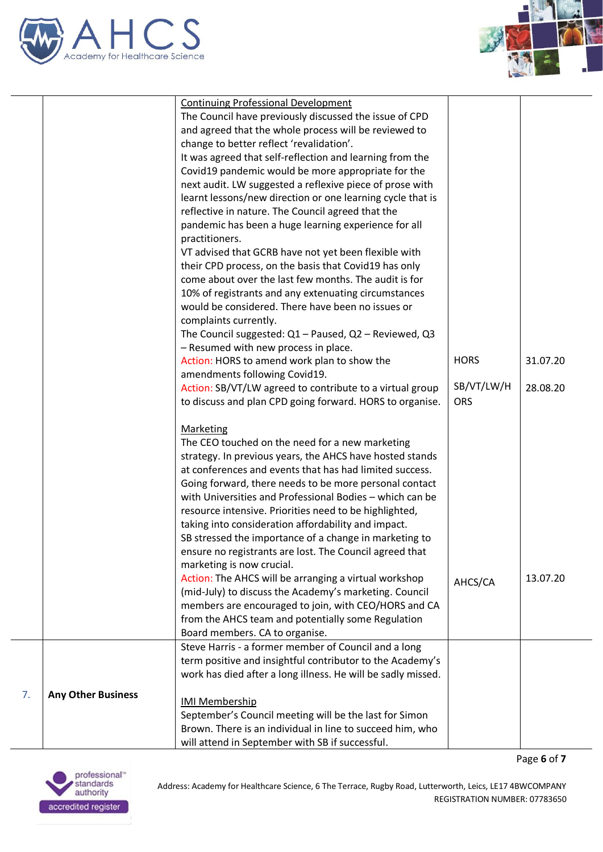



|    |                           | <b>Continuing Professional Development</b><br>The Council have previously discussed the issue of CPD<br>and agreed that the whole process will be reviewed to<br>change to better reflect 'revalidation'.<br>It was agreed that self-reflection and learning from the<br>Covid19 pandemic would be more appropriate for the<br>next audit. LW suggested a reflexive piece of prose with<br>learnt lessons/new direction or one learning cycle that is<br>reflective in nature. The Council agreed that the<br>pandemic has been a huge learning experience for all                  |                                         |                      |
|----|---------------------------|-------------------------------------------------------------------------------------------------------------------------------------------------------------------------------------------------------------------------------------------------------------------------------------------------------------------------------------------------------------------------------------------------------------------------------------------------------------------------------------------------------------------------------------------------------------------------------------|-----------------------------------------|----------------------|
|    |                           | practitioners.<br>VT advised that GCRB have not yet been flexible with<br>their CPD process, on the basis that Covid19 has only<br>come about over the last few months. The audit is for<br>10% of registrants and any extenuating circumstances<br>would be considered. There have been no issues or<br>complaints currently.<br>The Council suggested: Q1 - Paused, Q2 - Reviewed, Q3<br>- Resumed with new process in place.                                                                                                                                                     |                                         |                      |
|    |                           | Action: HORS to amend work plan to show the<br>amendments following Covid19.<br>Action: SB/VT/LW agreed to contribute to a virtual group<br>to discuss and plan CPD going forward. HORS to organise.                                                                                                                                                                                                                                                                                                                                                                                | <b>HORS</b><br>SB/VT/LW/H<br><b>ORS</b> | 31.07.20<br>28.08.20 |
|    |                           | <b>Marketing</b><br>The CEO touched on the need for a new marketing<br>strategy. In previous years, the AHCS have hosted stands<br>at conferences and events that has had limited success.<br>Going forward, there needs to be more personal contact<br>with Universities and Professional Bodies - which can be<br>resource intensive. Priorities need to be highlighted,<br>taking into consideration affordability and impact.<br>SB stressed the importance of a change in marketing to<br>ensure no registrants are lost. The Council agreed that<br>marketing is now crucial. |                                         |                      |
|    |                           | Action: The AHCS will be arranging a virtual workshop<br>(mid-July) to discuss the Academy's marketing. Council<br>members are encouraged to join, with CEO/HORS and CA<br>from the AHCS team and potentially some Regulation<br>Board members. CA to organise.                                                                                                                                                                                                                                                                                                                     | AHCS/CA                                 | 13.07.20             |
|    |                           | Steve Harris - a former member of Council and a long<br>term positive and insightful contributor to the Academy's<br>work has died after a long illness. He will be sadly missed.                                                                                                                                                                                                                                                                                                                                                                                                   |                                         |                      |
| 7. | <b>Any Other Business</b> | <b>IMI Membership</b><br>September's Council meeting will be the last for Simon<br>Brown. There is an individual in line to succeed him, who<br>will attend in September with SB if successful.                                                                                                                                                                                                                                                                                                                                                                                     |                                         |                      |